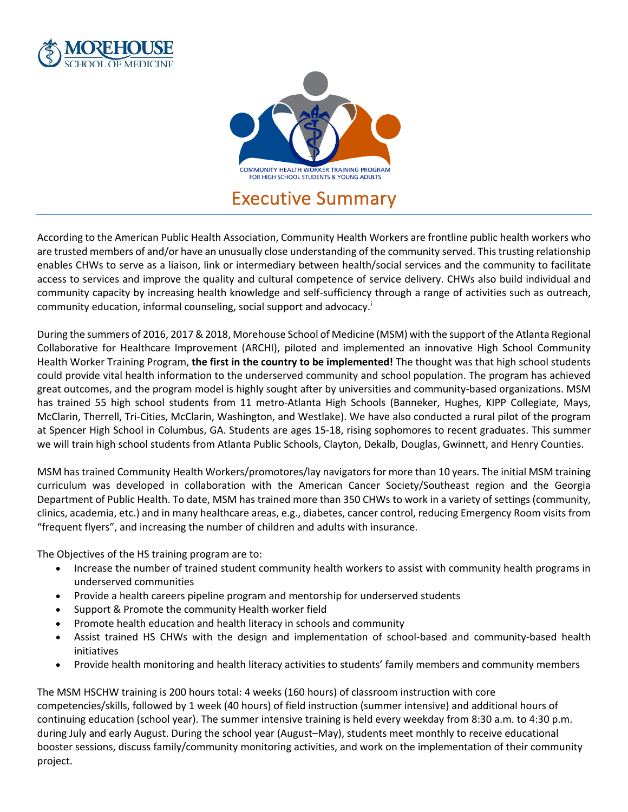



According to the American Public Health Association, Community Health Workers are frontline public health workers who are trusted members of and/or have an unusually close understanding of the community served. This trusting relationship enables CHWs to serve as a liaison, link or intermediary between health/social services and the community to facilitate access to services and improve the quality and cultural competence of service delivery. CHWs also build individual and community capacity by increasing health knowledge and self-sufficiency through a range of activities such as outreach, community education, informal counseling, social support and advocacy.<sup>i</sup>

During the summers of 2016, 2017 & 2018, Morehouse School of Medicine (MSM) with the support of the Atlanta Regional Collaborative for Healthcare Improvement (ARCHI), piloted and implemented an innovative High School Community Health Worker Training Program, **the first in the country to be implemented!** The thought was that high school students could provide vital health information to the underserved community and school population. The program has achieved great outcomes, and the program model is highly sought after by universities and community-based organizations. MSM has trained 55 high school students from 11 metro-Atlanta High Schools (Banneker, Hughes, KIPP Collegiate, Mays, McClarin, Therrell, Tri-Cities, McClarin, Washington, and Westlake). We have also conducted a rural pilot of the program at Spencer High School in Columbus, GA. Students are ages 15-18, rising sophomores to recent graduates. This summer we will train high school students from Atlanta Public Schools, Clayton, Dekalb, Douglas, Gwinnett, and Henry Counties.

MSM has trained Community Health Workers/promotores/lay navigators for more than 10 years. The initial MSM training curriculum was developed in collaboration with the American Cancer Society/Southeast region and the Georgia Department of Public Health. To date, MSM has trained more than 350 CHWs to work in a variety of settings (community, clinics, academia, etc.) and in many healthcare areas, e.g., diabetes, cancer control, reducing Emergency Room visits from "frequent flyers", and increasing the number of children and adults with insurance.

The Objectives of the HS training program are to:

- Increase the number of trained student community health workers to assist with community health programs in underserved communities
- Provide a health careers pipeline program and mentorship for underserved students
- Support & Promote the community Health worker field
- Promote health education and health literacy in schools and community
- Assist trained HS CHWs with the design and implementation of school-based and community-based health initiatives
- Provide health monitoring and health literacy activities to students' family members and community members

The MSM HSCHW training is 200 hours total: 4 weeks (160 hours) of classroom instruction with core competencies/skills, followed by 1 week (40 hours) of field instruction (summer intensive) and additional hours of continuing education (school year). The summer intensive training is held every weekday from 8:30 a.m. to 4:30 p.m. during July and early August. During the school year (August–May), students meet monthly to receive educational booster sessions, discuss family/community monitoring activities, and work on the implementation of their community project.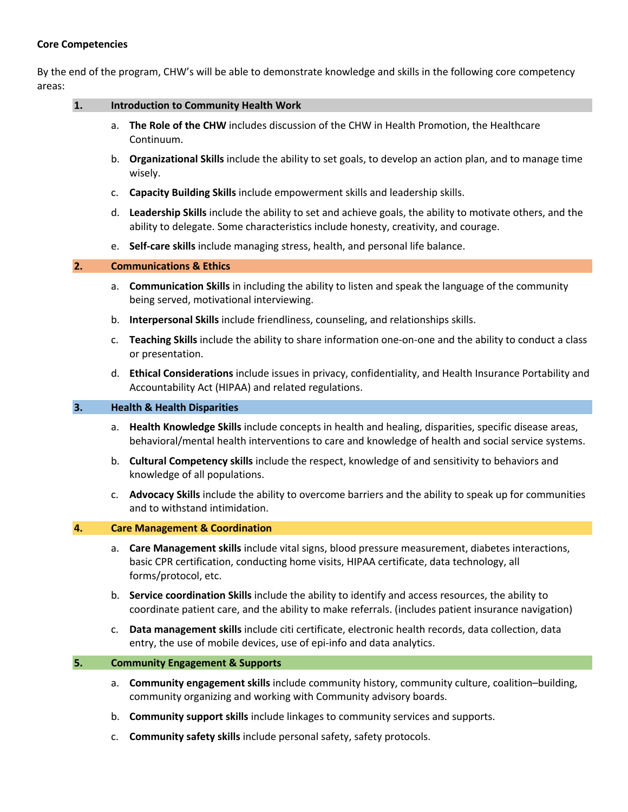## **Core Competencies**

By the end of the program, CHW's will be able to demonstrate knowledge and skills in the following core competency areas:

| $\mathbf{1}$ . | <b>Introduction to Community Health Work</b> |                                                                                                                                                                                                                    |
|----------------|----------------------------------------------|--------------------------------------------------------------------------------------------------------------------------------------------------------------------------------------------------------------------|
|                | a.                                           | The Role of the CHW includes discussion of the CHW in Health Promotion, the Healthcare<br>Continuum.                                                                                                               |
|                |                                              | b. Organizational Skills include the ability to set goals, to develop an action plan, and to manage time<br>wisely.                                                                                                |
|                | c.                                           | Capacity Building Skills include empowerment skills and leadership skills.                                                                                                                                         |
|                | d.                                           | Leadership Skills include the ability to set and achieve goals, the ability to motivate others, and the<br>ability to delegate. Some characteristics include honesty, creativity, and courage.                     |
|                |                                              | e. Self-care skills include managing stress, health, and personal life balance.                                                                                                                                    |
| 2.             | <b>Communications &amp; Ethics</b>           |                                                                                                                                                                                                                    |
|                | a.                                           | <b>Communication Skills</b> in including the ability to listen and speak the language of the community<br>being served, motivational interviewing.                                                                 |
|                | b.                                           | Interpersonal Skills include friendliness, counseling, and relationships skills.                                                                                                                                   |
|                | $\mathsf{C}$ .                               | Teaching Skills include the ability to share information one-on-one and the ability to conduct a class<br>or presentation.                                                                                         |
|                | d.                                           | Ethical Considerations include issues in privacy, confidentiality, and Health Insurance Portability and<br>Accountability Act (HIPAA) and related regulations.                                                     |
| 3.             | <b>Health &amp; Health Disparities</b>       |                                                                                                                                                                                                                    |
|                | а.                                           | Health Knowledge Skills include concepts in health and healing, disparities, specific disease areas,<br>behavioral/mental health interventions to care and knowledge of health and social service systems.         |
|                | b.                                           | Cultural Competency skills include the respect, knowledge of and sensitivity to behaviors and<br>knowledge of all populations.                                                                                     |
|                | c.                                           | Advocacy Skills include the ability to overcome barriers and the ability to speak up for communities<br>and to withstand intimidation.                                                                             |
| 4.             |                                              | <b>Care Management &amp; Coordination</b>                                                                                                                                                                          |
|                | a.                                           | Care Management skills include vital signs, blood pressure measurement, diabetes interactions,<br>basic CPR certification, conducting home visits, HIPAA certificate, data technology, all<br>forms/protocol, etc. |
|                |                                              | b. Service coordination Skills include the ability to identify and access resources, the ability to<br>coordinate patient care, and the ability to make referrals. (includes patient insurance navigation)         |
|                | c.                                           | Data management skills include citi certificate, electronic health records, data collection, data<br>entry, the use of mobile devices, use of epi-info and data analytics.                                         |
| 5.             | <b>Community Engagement &amp; Supports</b>   |                                                                                                                                                                                                                    |
|                | а.                                           | Community engagement skills include community history, community culture, coalition-building,<br>community organizing and working with Community advisory boards.                                                  |
|                | b.                                           | Community support skills include linkages to community services and supports.                                                                                                                                      |

c. **Community safety skills** include personal safety, safety protocols.